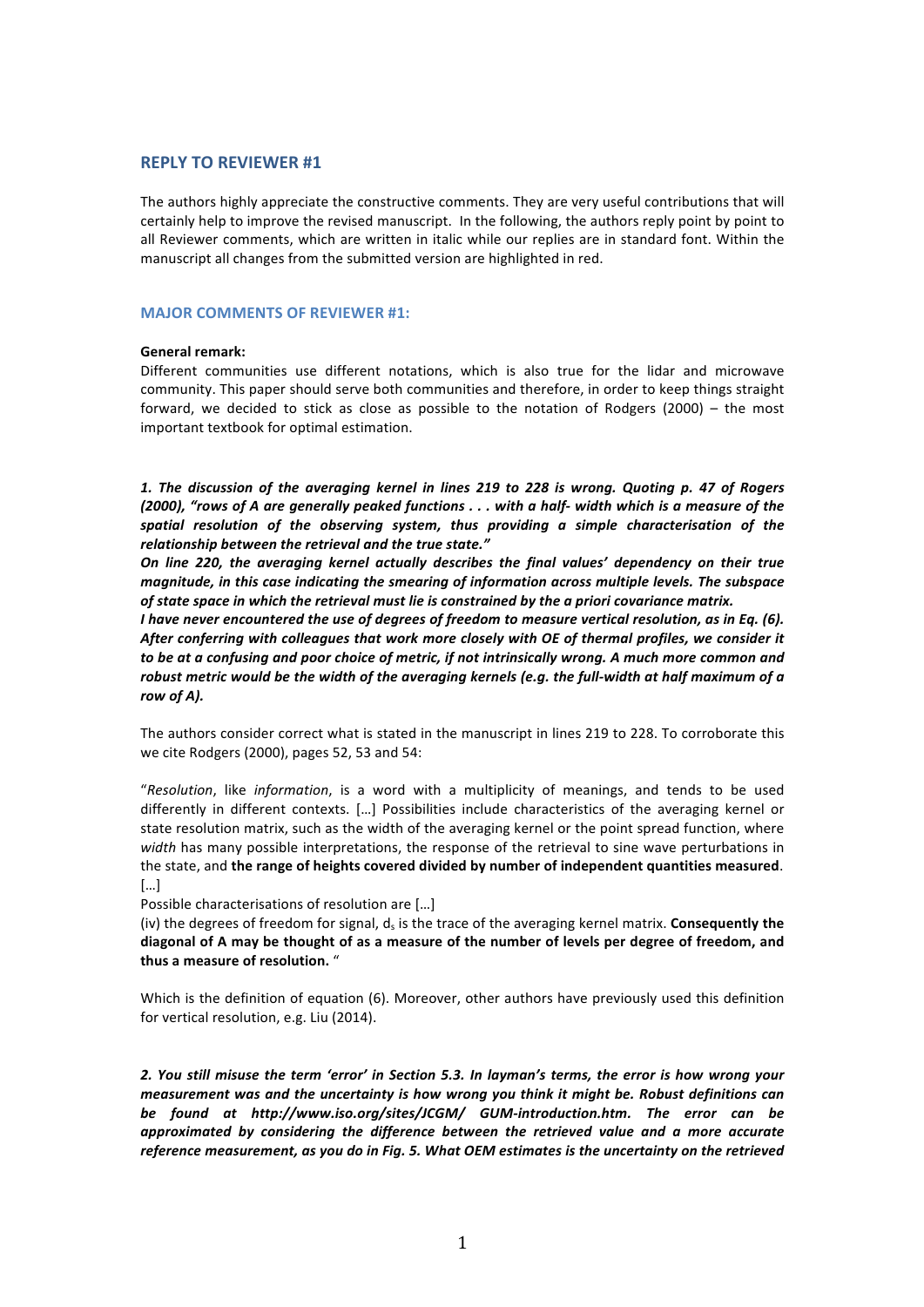### **REPLY TO REVIEWER #1**

The authors highly appreciate the constructive comments. They are very useful contributions that will certainly help to improve the revised manuscript. In the following, the authors reply point by point to all Reviewer comments, which are written in italic while our replies are in standard font. Within the manuscript all changes from the submitted version are highlighted in red.

#### **MAJOR COMMENTS OF REVIEWER #1:**

#### General remark:

Different communities use different notations, which is also true for the lidar and microwave community. This paper should serve both communities and therefore, in order to keep things straight forward, we decided to stick as close as possible to the notation of Rodgers (2000) – the most important textbook for optimal estimation.

1. The discussion of the averaging kernel in lines 219 to 228 is wrong. Quoting p. 47 of Rogers (2000), "rows of A are generally peaked functions . . . with a half- width which is a measure of the spatial resolution of the observing system, thus providing a simple characterisation of the relationship between the retrieval and the true state."

*On line 220, the averaging kernel actually describes the final values' dependency on their true magnitude, in this case indicating the smearing of information across multiple levels. The subspace* of state space in which the retrieval must lie is constrained by the a priori covariance matrix.

*I* have never encountered the use of degrees of freedom to measure vertical resolution, as in Eq. (6). After conferring with colleagues that work more closely with OE of thermal profiles, we consider it to be at a confusing and poor choice of metric, if not intrinsically wrong. A much more common and robust metric would be the width of the averaging kernels (e.g. the full-width at half maximum of a row of A).

The authors consider correct what is stated in the manuscript in lines 219 to 228. To corroborate this we cite Rodgers (2000), pages 52, 53 and 54:

"Resolution, like *information*, is a word with a multiplicity of meanings, and tends to be used differently in different contexts. [...] Possibilities include characteristics of the averaging kernel or state resolution matrix, such as the width of the averaging kernel or the point spread function, where width has many possible interpretations, the response of the retrieval to sine wave perturbations in the state, and the range of heights covered divided by number of independent quantities measured. […]

Possible characterisations of resolution are [...]

(iv) the degrees of freedom for signal,  $d<sub>s</sub>$  is the trace of the averaging kernel matrix. **Consequently the** diagonal of A may be thought of as a measure of the number of levels per degree of freedom, and thus a measure of resolution. "

Which is the definition of equation (6). Moreover, other authors have previously used this definition for vertical resolution, e.g. Liu (2014).

2. You still misuse the term 'error' in Section 5.3. In layman's terms, the error is how wrong your *measurement* was and the uncertainty is how wrong you think it might be. Robust definitions can be found at http://www.iso.org/sites/JCGM/ GUM-introduction.htm. The error can be approximated by considering the difference between the retrieved value and a more accurate reference measurement, as you do in Fig. 5. What OEM estimates is the uncertainty on the retrieved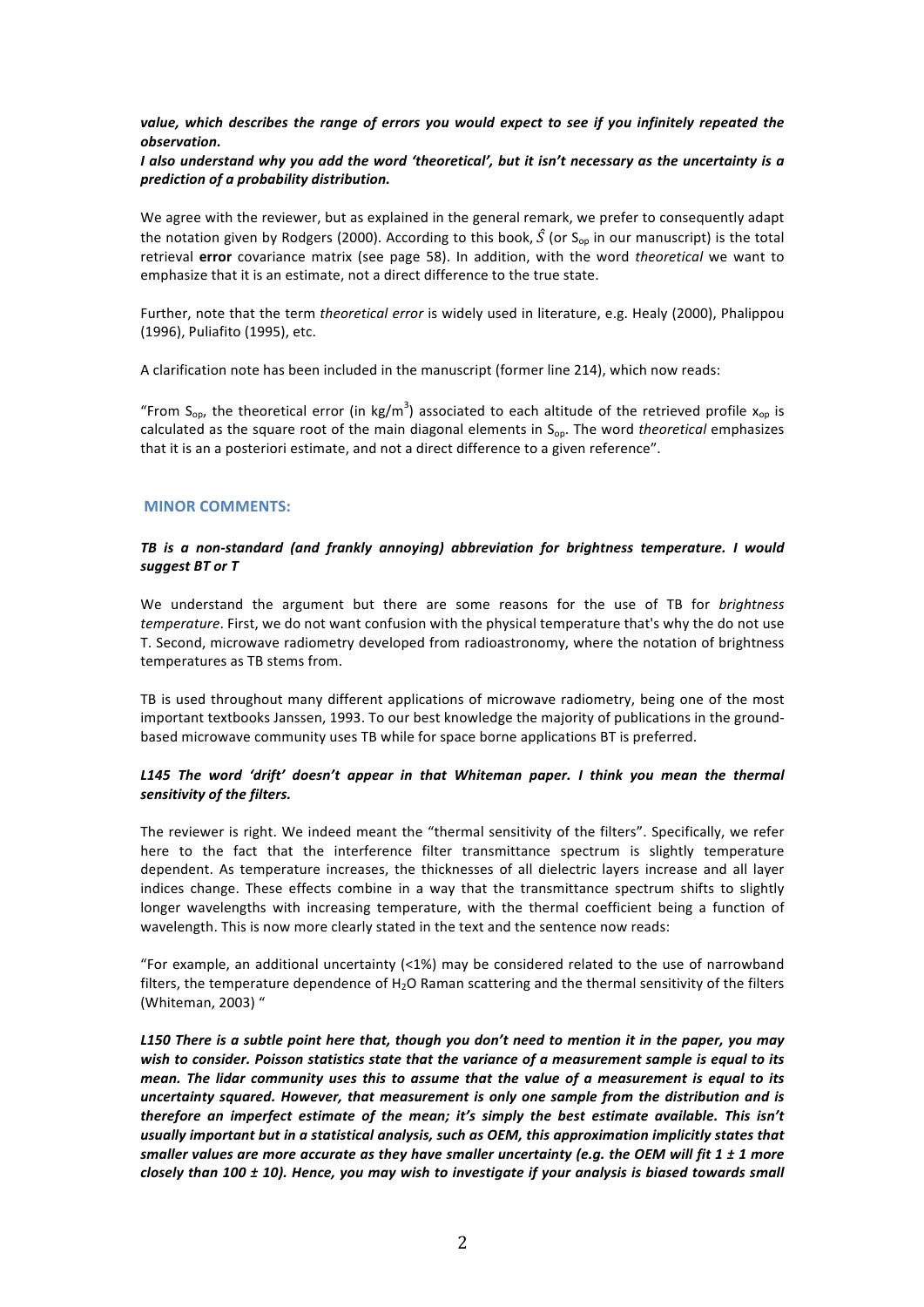# value, which describes the range of errors you would expect to see if you infinitely repeated the *observation.*

# *I* also understand why you add the word 'theoretical', but it isn't necessary as the uncertainty is a *prediction of a probability distribution.*

We agree with the reviewer, but as explained in the general remark, we prefer to consequently adapt the notation given by Rodgers (2000). According to this book,  $\hat{S}$  (or  $S_{op}$  in our manuscript) is the total retrieval **error** covariance matrix (see page 58). In addition, with the word *theoretical* we want to emphasize that it is an estimate, not a direct difference to the true state.

Further, note that the term *theoretical error* is widely used in literature, e.g. Healy (2000), Phalippou (1996), Puliafito (1995), etc.

A clarification note has been included in the manuscript (former line 214), which now reads:

"From S<sub>op</sub>, the theoretical error (in kg/m<sup>3</sup>) associated to each altitude of the retrieved profile  $x_{op}$  is calculated as the square root of the main diagonal elements in  $S_{op}$ . The word *theoretical* emphasizes that it is an a posteriori estimate, and not a direct difference to a given reference".

### **MINOR COMMENTS:**

# TB is a non-standard (and frankly annoying) abbreviation for brightness temperature. I would *suggest BT or T*

We understand the argument but there are some reasons for the use of TB for *brightness temperature*. First, we do not want confusion with the physical temperature that's why the do not use T. Second, microwave radiometry developed from radioastronomy, where the notation of brightness temperatures as TB stems from.

TB is used throughout many different applications of microwave radiometry, being one of the most important textbooks Janssen, 1993. To our best knowledge the majority of publications in the groundbased microwave community uses TB while for space borne applications BT is preferred.

# L145 The word 'drift' doesn't appear in that Whiteman paper. I think you mean the thermal sensitivity of the filters.

The reviewer is right. We indeed meant the "thermal sensitivity of the filters". Specifically, we refer here to the fact that the interference filter transmittance spectrum is slightly temperature dependent. As temperature increases, the thicknesses of all dielectric layers increase and all layer indices change. These effects combine in a way that the transmittance spectrum shifts to slightly longer wavelengths with increasing temperature, with the thermal coefficient being a function of wavelength. This is now more clearly stated in the text and the sentence now reads:

"For example, an additional uncertainty  $\left\langle \langle 1\% \rangle \right\rangle$  may be considered related to the use of narrowband filters, the temperature dependence of  $H_2O$  Raman scattering and the thermal sensitivity of the filters (Whiteman, 2003) "

*L150* There is a subtle point here that, though you don't need to mention it in the paper, you may wish to consider. Poisson statistics state that the variance of a measurement sample is equal to its *mean.* The lidar community uses this to assume that the value of a measurement is equal to its uncertainty squared. However, that measurement is only one sample from the distribution and is *therefore an imperfect estimate of the mean; it's simply the best estimate available. This isn't* usually important but in a statistical analysis, such as OEM, this approximation implicitly states that smaller values are more accurate as they have smaller uncertainty (e.q. the OEM will fit 1 ± 1 more *closely than* 100 ± 10). Hence, you may wish to investigate if your analysis is biased towards small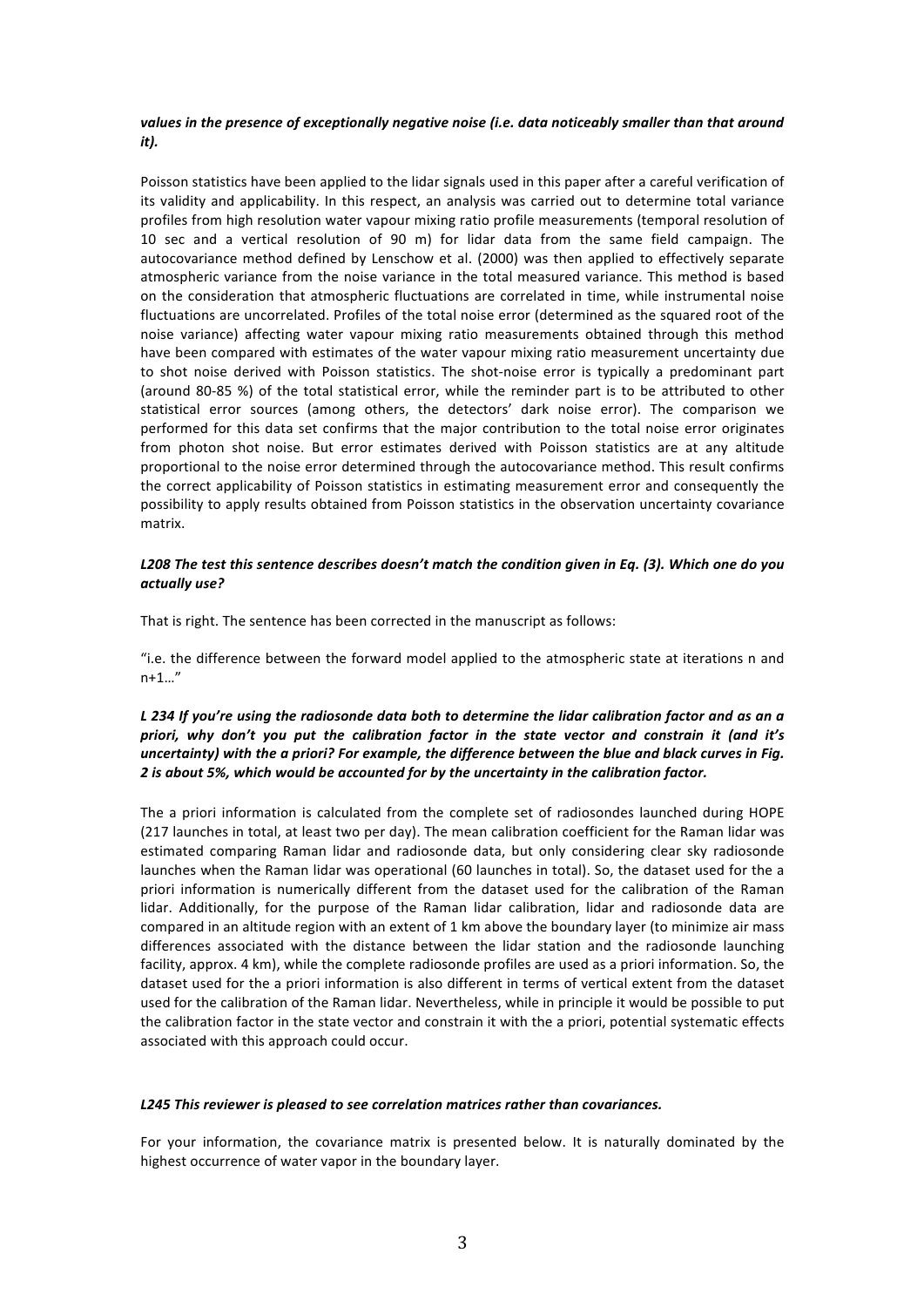# values in the presence of exceptionally negative noise (i.e. data noticeably smaller than that around *it*).

Poisson statistics have been applied to the lidar signals used in this paper after a careful verification of its validity and applicability. In this respect, an analysis was carried out to determine total variance profiles from high resolution water vapour mixing ratio profile measurements (temporal resolution of 10 sec and a vertical resolution of 90 m) for lidar data from the same field campaign. The autocovariance method defined by Lenschow et al. (2000) was then applied to effectively separate atmospheric variance from the noise variance in the total measured variance. This method is based on the consideration that atmospheric fluctuations are correlated in time, while instrumental noise fluctuations are uncorrelated. Profiles of the total noise error (determined as the squared root of the noise variance) affecting water vapour mixing ratio measurements obtained through this method have been compared with estimates of the water vapour mixing ratio measurement uncertainty due to shot noise derived with Poisson statistics. The shot-noise error is typically a predominant part (around 80-85 %) of the total statistical error, while the reminder part is to be attributed to other statistical error sources (among others, the detectors' dark noise error). The comparison we performed for this data set confirms that the major contribution to the total noise error originates from photon shot noise. But error estimates derived with Poisson statistics are at any altitude proportional to the noise error determined through the autocovariance method. This result confirms the correct applicability of Poisson statistics in estimating measurement error and consequently the possibility to apply results obtained from Poisson statistics in the observation uncertainty covariance matrix.

### L208 The test this sentence describes doesn't match the condition given in Eq. (3). Which one do you *actually use?*

That is right. The sentence has been corrected in the manuscript as follows:

"i.e. the difference between the forward model applied to the atmospheric state at iterations n and n+1…"

# *L* 234 If you're using the radiosonde data both to determine the lidar calibration factor and as an a priori, why don't you put the calibration factor in the state vector and constrain it (and it's *uncertainty)* with the a priori? For example, the difference between the blue and black curves in Fig. 2 is about 5%, which would be accounted for by the uncertainty in the calibration factor.

The a priori information is calculated from the complete set of radiosondes launched during HOPE (217 launches in total, at least two per day). The mean calibration coefficient for the Raman lidar was estimated comparing Raman lidar and radiosonde data, but only considering clear sky radiosonde launches when the Raman lidar was operational (60 launches in total). So, the dataset used for the a priori information is numerically different from the dataset used for the calibration of the Raman lidar. Additionally, for the purpose of the Raman lidar calibration, lidar and radiosonde data are compared in an altitude region with an extent of 1 km above the boundary layer (to minimize air mass differences associated with the distance between the lidar station and the radiosonde launching facility, approx. 4 km), while the complete radiosonde profiles are used as a priori information. So, the dataset used for the a priori information is also different in terms of vertical extent from the dataset used for the calibration of the Raman lidar. Nevertheless, while in principle it would be possible to put the calibration factor in the state vector and constrain it with the a priori, potential systematic effects associated with this approach could occur.

### L245 This reviewer is pleased to see correlation matrices rather than covariances.

For your information, the covariance matrix is presented below. It is naturally dominated by the highest occurrence of water vapor in the boundary layer.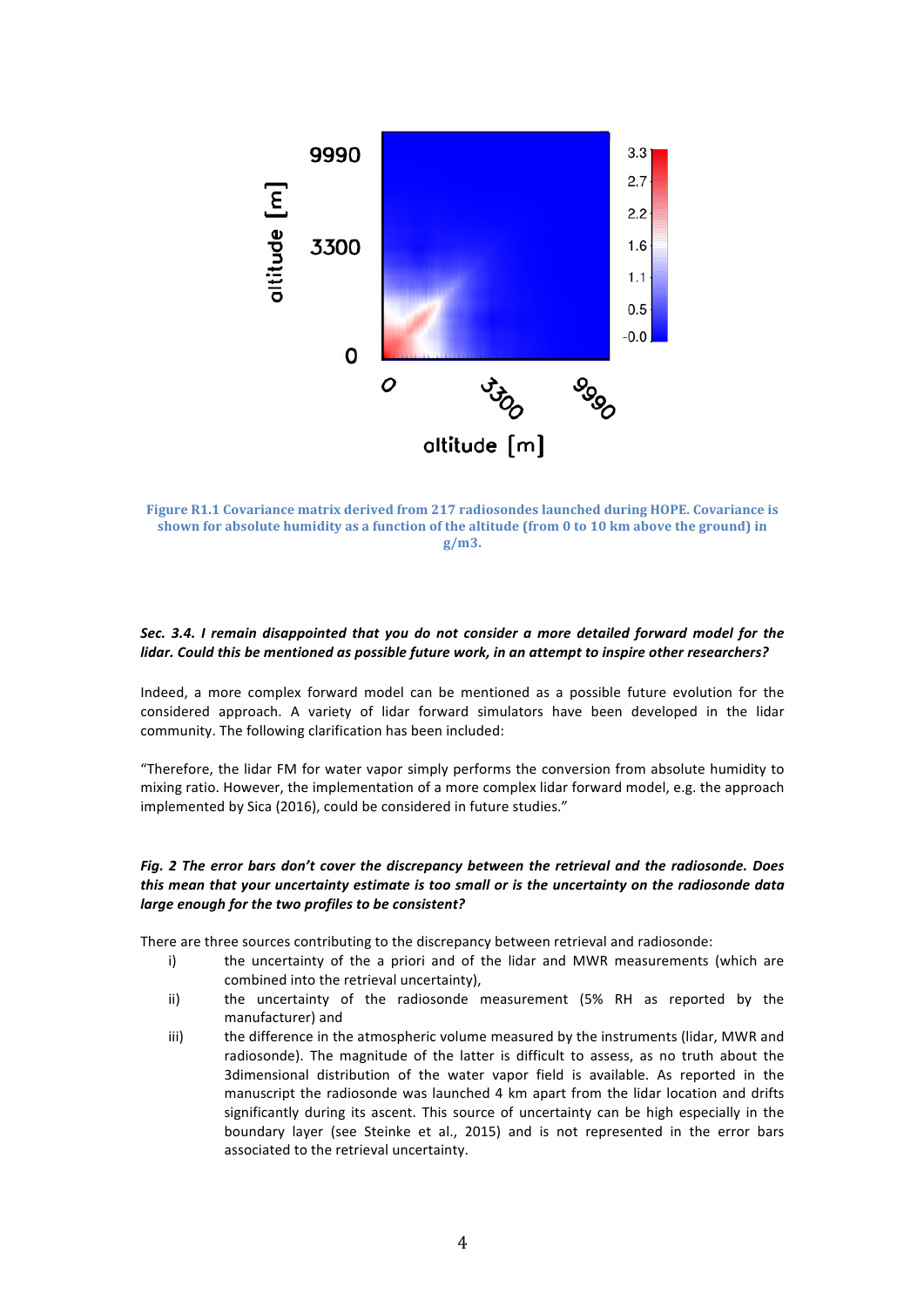

**Figure R1.1 Covariance matrix derived from 217 radiosondes launched during HOPE. Covariance is** shown for absolute humidity as a function of the altitude (from 0 to 10 km above the ground) in **g/m3.**

# Sec. 3.4. *I* remain disappointed that you do not consider a more detailed forward model for the lidar. Could this be mentioned as possible future work, in an attempt to inspire other researchers?

Indeed, a more complex forward model can be mentioned as a possible future evolution for the considered approach. A variety of lidar forward simulators have been developed in the lidar community. The following clarification has been included:

"Therefore, the lidar FM for water vapor simply performs the conversion from absolute humidity to mixing ratio. However, the implementation of a more complex lidar forward model, e.g. the approach implemented by Sica (2016), could be considered in future studies."

### Fig. 2 The error bars don't cover the discrepancy between the retrieval and the radiosonde. Does this mean that your uncertainty estimate is too small or is the uncertainty on the radiosonde data *large enough for the two profiles to be consistent?*

There are three sources contributing to the discrepancy between retrieval and radiosonde:

- i) the uncertainty of the a priori and of the lidar and MWR measurements (which are combined into the retrieval uncertainty),
- ii) the uncertainty of the radiosonde measurement (5% RH as reported by the manufacturer) and
- iii) the difference in the atmospheric volume measured by the instruments (lidar, MWR and radiosonde). The magnitude of the latter is difficult to assess, as no truth about the 3dimensional distribution of the water vapor field is available. As reported in the manuscript the radiosonde was launched 4 km apart from the lidar location and drifts significantly during its ascent. This source of uncertainty can be high especially in the boundary layer (see Steinke et al., 2015) and is not represented in the error bars associated to the retrieval uncertainty.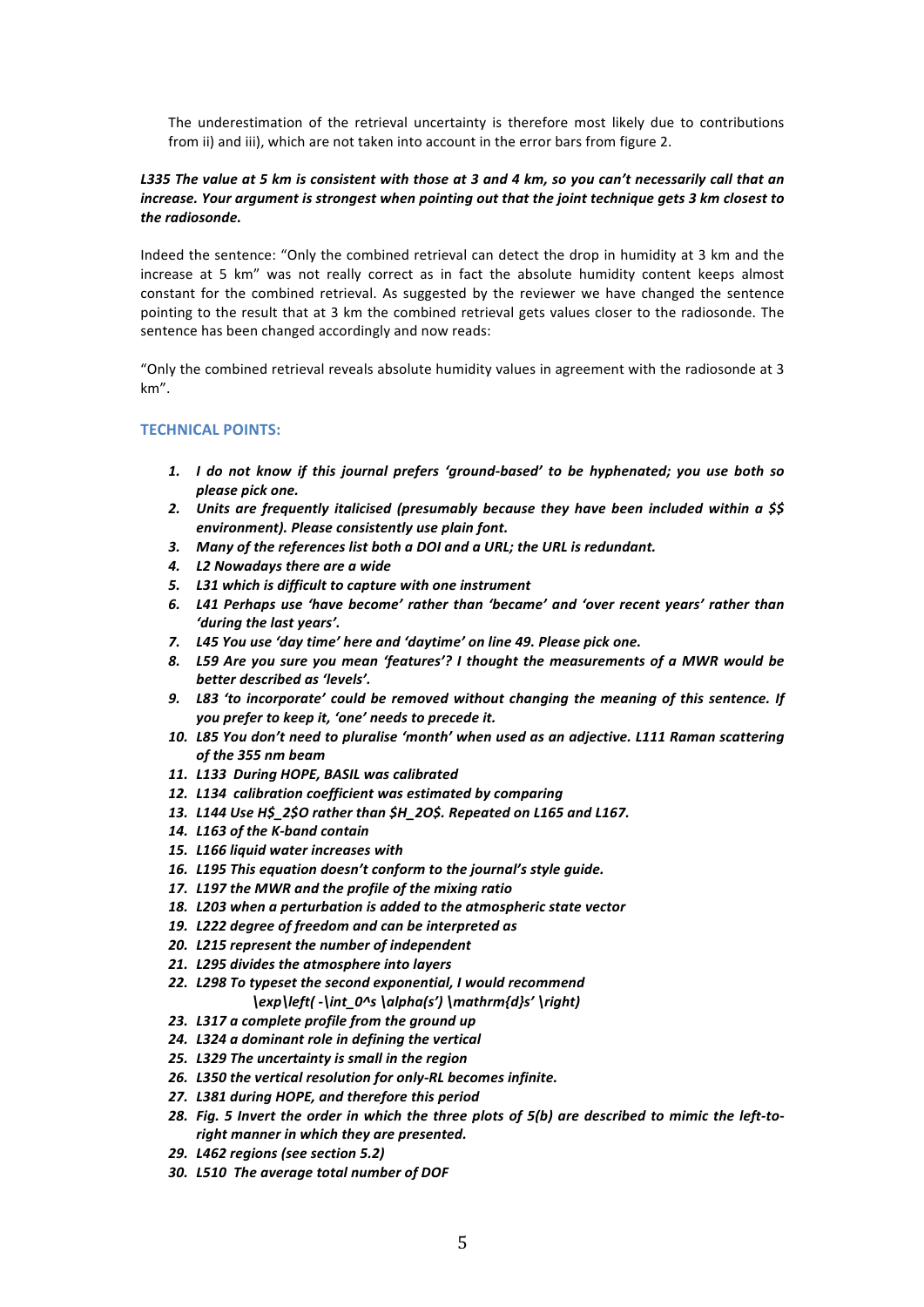The underestimation of the retrieval uncertainty is therefore most likely due to contributions from ii) and iii), which are not taken into account in the error bars from figure 2.

#### L335 The value at 5 km is consistent with those at 3 and 4 km, so you can't necessarily call that an *increase. Your argument is strongest when pointing out that the joint technique gets 3 km closest to* the *radiosonde*.

Indeed the sentence: "Only the combined retrieval can detect the drop in humidity at 3 km and the increase at 5 km" was not really correct as in fact the absolute humidity content keeps almost constant for the combined retrieval. As suggested by the reviewer we have changed the sentence pointing to the result that at 3 km the combined retrieval gets values closer to the radiosonde. The sentence has been changed accordingly and now reads:

"Only the combined retrieval reveals absolute humidity values in agreement with the radiosonde at 3 km".

# **TECHNICAL POINTS:**

- 1. *I* do not know if this journal prefers 'ground-based' to be hyphenated; you use both so *please pick one.*
- 2. Units are frequently italicised (presumably because they have been included within a \$\$ *environment). Please consistently use plain font.*
- 3. Many of the references list both a DOI and a URL; the URL is redundant.
- *4. L2 Nowadays there are a wide*
- 5. L31 which is difficult to capture with one instrument
- 6. L41 Perhaps use 'have become' rather than 'became' and 'over recent years' rather than *'during the last vears'.*
- *7.* **L45** You use 'day time' here and 'daytime' on line 49. Please pick one.
- 8. L59 Are you sure you mean 'features'? I thought the measurements of a MWR would be better described as 'levels'.
- 9. L83 'to incorporate' could be removed without changing the meaning of this sentence. If *you* prefer to keep it, 'one' needs to precede it.
- 10. L85 You don't need to pluralise 'month' when used as an adjective. L111 Raman scattering of the 355 nm beam
- *11. L133 During HOPE, BASIL was calibrated*
- 12. L134 calibration coefficient was estimated by comparing
- 13. L144 Use H\$ 2\$O rather than \$H 2O\$. Repeated on L165 and L167.
- 14. L163 of the K-band contain
- *15. L166 liquid water increases with*
- 16. L195 This equation doesn't conform to the journal's style quide.
- 17. *L197* the MWR and the profile of the mixing ratio
- 18. L203 when a perturbation is added to the atmospheric state vector
- 19. L222 degree of freedom and can be interpreted as
- 20. L215 represent the number of independent
- 21. L295 divides the atmosphere into layers
- 22. *L298* To typeset the second exponential, I would recommend *\exp\left( -\int\_0^s \alpha(s') \mathrm{d}s' \right)*
- 23. L317 a complete profile from the ground up
- *24. L324 a dominant role in defining the vertical*
- *25. L329 The uncertainty is small in the region*
- 26. L350 the vertical resolution for only-RL becomes infinite.
- *27. L381 during HOPE, and therefore this period*
- 28. Fig. 5 Invert the order in which the three plots of 5(b) are described to mimic the left-toright manner in which they are presented.
- *29. L462 regions (see section 5.2)*
- 30. L510 The average total number of DOF